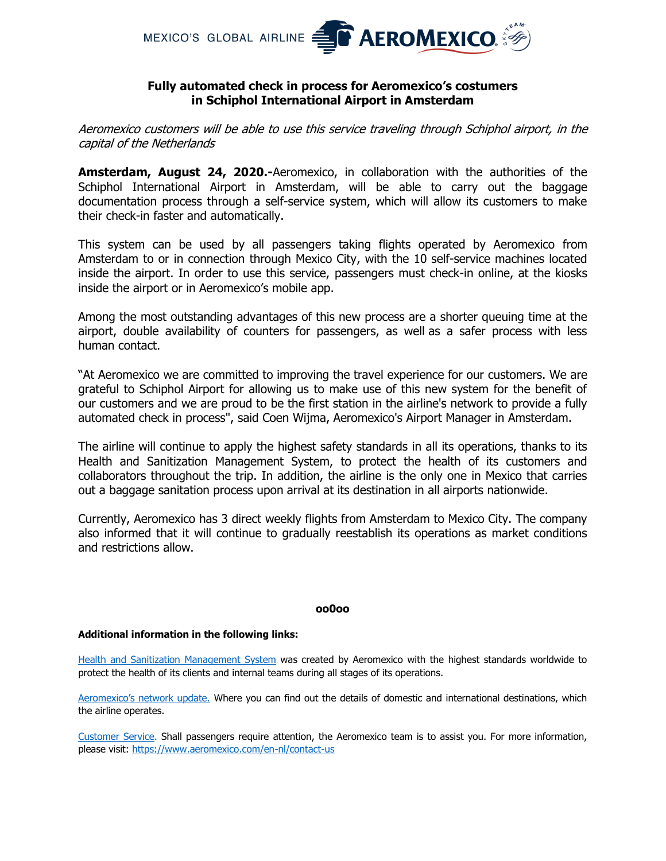

# **Fully automated check in process for Aeromexico's costumers in Schiphol International Airport in Amsterdam**

Aeromexico customers will be able to use this service traveling through Schiphol airport, in the capital of the Netherlands

**Amsterdam, August 24, 2020.-**Aeromexico, in collaboration with the authorities of the Schiphol International Airport in Amsterdam, will be able to carry out the baggage documentation process through a self-service system, which will allow its customers to make their check-in faster and automatically.

This system can be used by all passengers taking flights operated by Aeromexico from Amsterdam to or in connection through Mexico City, with the 10 self-service machines located inside the airport. In order to use this service, passengers must check-in online, at the kiosks inside the airport or in Aeromexico's mobile app.

Among the most outstanding advantages of this new process are a shorter queuing time at the airport, double availability of counters for passengers, as well as a safer process with less human contact.

"At Aeromexico we are committed to improving the travel experience for our customers. We are grateful to Schiphol Airport for allowing us to make use of this new system for the benefit of our customers and we are proud to be the first station in the airline's network to provide a fully automated check in process", said Coen Wijma, Aeromexico's Airport Manager in Amsterdam.

The airline will continue to apply the highest safety standards in all its operations, thanks to its Health and Sanitization Management System, to protect the health of its customers and collaborators throughout the trip. In addition, the airline is the only one in Mexico that carries out a baggage sanitation process upon arrival at its destination in all airports nationwide.

Currently, Aeromexico has 3 direct weekly flights from Amsterdam to Mexico City. The company also informed that it will continue to gradually reestablish its operations as market conditions and restrictions allow.

## **oo0oo**

## **Additional information in the following links:**

[Health and Sanitization Management System](https://www.aeromexico.com/en-us/health-and-sanitization-measures) was created by Aeromexico with the highest standards worldwide to protect the health of its clients and internal teams during all stages of its operations.

[Aeromexico's network update.](https://www.aeromexico.com/en-us/official-routes-and-information) Where you can find out the details of domestic and international destinations, which the airline operates.

Customer Service. Shall passengers require attention, the Aeromexico team is to assist you. For more information, please visit:<https://www.aeromexico.com/en-nl/contact-us>